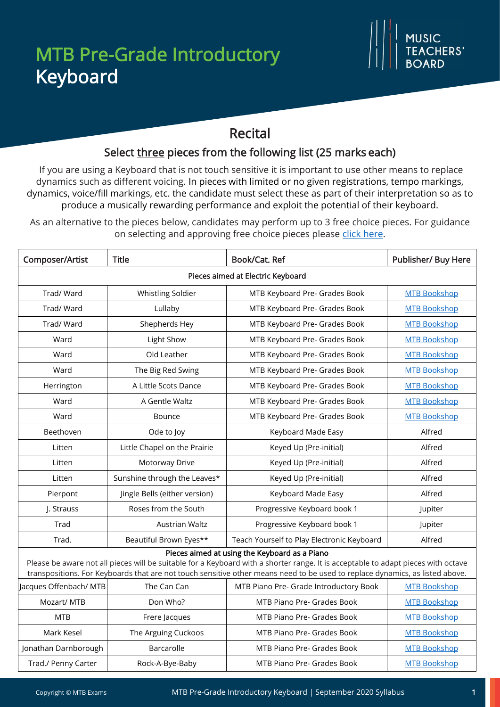## Recital

## Select three pieces from the following list (25 marks each)

If you are using a Keyboard that is not touch sensitive it is important to use other means to replace dynamics such as different voicing. In pieces with limited or no given registrations, tempo markings, dynamics, voice/fill markings, etc. the candidate must select these as part of their interpretation so as to produce a musically rewarding performance and exploit the potential of their keyboard.

As an alternative to the pieces below, candidates may perform up to 3 free choice pieces. For guidance on selecting and approving free choice pieces please [click here.](https://www.mtbexams.com/how-it-works/free-choice-pieces-guidance/)

| Composer/Artist                                                                                                                                                                                                                                                                                                    | <b>Title</b>                  | Book/Cat. Ref                              | Publisher/ Buy Here |  |  |
|--------------------------------------------------------------------------------------------------------------------------------------------------------------------------------------------------------------------------------------------------------------------------------------------------------------------|-------------------------------|--------------------------------------------|---------------------|--|--|
| Pieces aimed at Electric Keyboard                                                                                                                                                                                                                                                                                  |                               |                                            |                     |  |  |
| Trad/Ward                                                                                                                                                                                                                                                                                                          | <b>Whistling Soldier</b>      | MTB Keyboard Pre- Grades Book              | <b>MTB Bookshop</b> |  |  |
| Trad/Ward                                                                                                                                                                                                                                                                                                          | Lullaby                       | MTB Keyboard Pre- Grades Book              | <b>MTB Bookshop</b> |  |  |
| Trad/Ward                                                                                                                                                                                                                                                                                                          | Shepherds Hey                 | MTB Keyboard Pre- Grades Book              | <b>MTB Bookshop</b> |  |  |
| Ward                                                                                                                                                                                                                                                                                                               | Light Show                    | MTB Keyboard Pre- Grades Book              | <b>MTB Bookshop</b> |  |  |
| Ward                                                                                                                                                                                                                                                                                                               | Old Leather                   | MTB Keyboard Pre- Grades Book              | <b>MTB Bookshop</b> |  |  |
| Ward                                                                                                                                                                                                                                                                                                               | The Big Red Swing             | MTB Keyboard Pre- Grades Book              | <b>MTB Bookshop</b> |  |  |
| Herrington                                                                                                                                                                                                                                                                                                         | A Little Scots Dance          | MTB Keyboard Pre- Grades Book              | <b>MTB Bookshop</b> |  |  |
| Ward                                                                                                                                                                                                                                                                                                               | A Gentle Waltz                | MTB Keyboard Pre- Grades Book              | <b>MTB Bookshop</b> |  |  |
| Ward                                                                                                                                                                                                                                                                                                               | Bounce                        | MTB Keyboard Pre- Grades Book              | <b>MTB Bookshop</b> |  |  |
| Beethoven                                                                                                                                                                                                                                                                                                          | Ode to Joy                    | Keyboard Made Easy                         | Alfred              |  |  |
| Litten                                                                                                                                                                                                                                                                                                             | Little Chapel on the Prairie  | Keyed Up (Pre-initial)                     | Alfred              |  |  |
| Litten                                                                                                                                                                                                                                                                                                             | Motorway Drive                | Keyed Up (Pre-initial)                     | Alfred              |  |  |
| Litten                                                                                                                                                                                                                                                                                                             | Sunshine through the Leaves*  | Keyed Up (Pre-initial)                     | Alfred              |  |  |
| Pierpont                                                                                                                                                                                                                                                                                                           | Jingle Bells (either version) | Keyboard Made Easy                         | Alfred              |  |  |
| J. Strauss                                                                                                                                                                                                                                                                                                         | Roses from the South          | Progressive Keyboard book 1                | Jupiter             |  |  |
| Trad                                                                                                                                                                                                                                                                                                               | <b>Austrian Waltz</b>         | Progressive Keyboard book 1                | Jupiter             |  |  |
| Trad.                                                                                                                                                                                                                                                                                                              | Beautiful Brown Eyes**        | Teach Yourself to Play Electronic Keyboard | Alfred              |  |  |
| Pieces aimed at using the Keyboard as a Piano<br>Please be aware not all pieces will be suitable for a Keyboard with a shorter range. It is acceptable to adapt pieces with octave<br>transpositions. For Keyboards that are not touch sensitive other means need to be used to replace dynamics, as listed above. |                               |                                            |                     |  |  |
| Jacques Offenbach/ MTB                                                                                                                                                                                                                                                                                             | The Can Can                   | MTB Piano Pre- Grade Introductory Book     | <b>MTB Bookshop</b> |  |  |
| Mozart/ MTB                                                                                                                                                                                                                                                                                                        | Don Who?                      | MTB Piano Pre- Grades Book                 | <b>MTB Bookshop</b> |  |  |
| <b>MTB</b>                                                                                                                                                                                                                                                                                                         | Frere Jacques                 | MTB Piano Pre- Grades Book                 | <b>MTB Bookshop</b> |  |  |
| Mark Kesel                                                                                                                                                                                                                                                                                                         | The Arguing Cuckoos           | MTB Piano Pre- Grades Book                 | <b>MTB Bookshop</b> |  |  |
| Jonathan Darnborough                                                                                                                                                                                                                                                                                               | Barcarolle                    | MTB Piano Pre- Grades Book                 | <b>MTB Bookshop</b> |  |  |
| Trad./ Penny Carter                                                                                                                                                                                                                                                                                                | Rock-A-Bye-Baby               | MTB Piano Pre- Grades Book                 | <b>MTB Bookshop</b> |  |  |